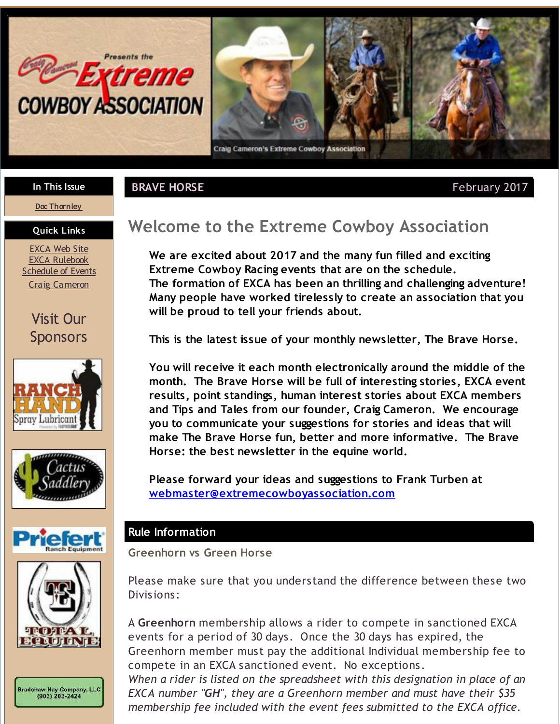<span id="page-0-0"></span>



#### **In This Issue**

#### **BRAVE HORSE Example 2017 February 2017**

## **Doc [Thornley](#page-0-0) Quick Links**

[EXCA](http://r20.rs6.net/tn.jsp?f=0010wcv9yjKyP92wqU5R4o0RoPzdKAhIWQ0diads997yFO2MiGPQPTCJ0q8m1l-d8idSk6egPg68eH_GasaVL2fnpyJsAxdNvcor_CEHd3LL6y2QhPvSezQUG1P3VdWMOWOZ-nd5l2NZ9xH1ALoVxI3OhKM8HPEskMtTAGYmMUfJja1Sq92TykQ1vSYht3RT4Ir&c=&ch=) Web Site EXCA [Rulebook](http://r20.rs6.net/tn.jsp?f=0010wcv9yjKyP92wqU5R4o0RoPzdKAhIWQ0diads997yFO2MiGPQPTCJ2aA_aFbOSy_JO6oE0C4wJswULtPhXVR13kF-vbBm5tribqLLgqb-nqdTBr6i3LgEf-z6DcS6md3pkSJhsFr3YyynVYJNEaidxy5yEqOz7wUxpUXi9AjyNDsMaZy_X4wIxwS6q57iN4lhXd3eDO0tsUBdhiDqZAGZg==&c=&ch=) **[Schedule](http://r20.rs6.net/tn.jsp?f=0010wcv9yjKyP92wqU5R4o0RoPzdKAhIWQ0diads997yFO2MiGPQPTCJ2aA_aFbOSy_wKnYrgofSovHqed-zSA3dcKAyB-YakveCxbAFZrG0laOopmz80BxiAUZ-ttPE-0nul7XJjyPF6IXhrXc15M-J6ETug-MpDcEv0RoaJsPyiGuzKu1EZXdCBUtTSa0_LdbCUyJAfoq5WkhIh3GjLd3bQ==&c=&ch=) of Events** Craig [Cameron](http://r20.rs6.net/tn.jsp?f=0010wcv9yjKyP92wqU5R4o0RoPzdKAhIWQ0diads997yFO2MiGPQPTCJ7V6XKsMJ8BlrbEQxukLxLm2awBVa33kagJXZpOsVPKxZrQBlJ_1_SapviX2vBraOYm7vr-yDJQ1iQFkjg8psUrV8MjXvi6DwZOxWgPBmKtEcM2dR3yMMCM=&c=&ch=)

# Visit Our **Sponsors**











# **Welcome to the Extreme Cowboy Association**

**We are excited about 2017 and the many fun filled and exciting Extreme Cowboy Racing events that are on the schedule. The formation of EXCA has been an thrilling and challenging adventure! Many people have worked tirelessly to create an association that you will be proud to tell your friends about.**

**This is the latest issue of your monthly newsletter, The Brave Horse.**

**You will receive it each month electronically around the middle of the month. The Brave Horse will be full of interesting stories, EXCA event results, point standings, human interest stories about EXCA members and Tips and Tales from our founder, Craig Cameron. We encourage you to communicate your suggestions for stories and ideas that will make The Brave Horse fun, better and more informative. The Brave Horse: the best newsletter in the equine world.**

**Please forward your ideas and suggestions to Frank Turben at [webmaster@extremecowboyassociation.com](mailto:webmaster@extremecowboyassociation.com)**

#### **Rule Information**

**Greenhorn vs Green Horse**

Please make sure that you understand the difference between these two Divisions:

A **Greenhorn** membership allows a rider to compete in sanctioned EXCA events for a period of 30 days. Once the 30 days has expired, the Greenhorn member must pay the additional Individual membership fee to compete in an EXCA sanctioned event. No exceptions.

*When a rider is listed on the spreadsheet with this designation in place of an EXCA number "GH", they are a Greenhorn member and must have their \$35 membership fee included with the event fees submitted to the EXCA office.*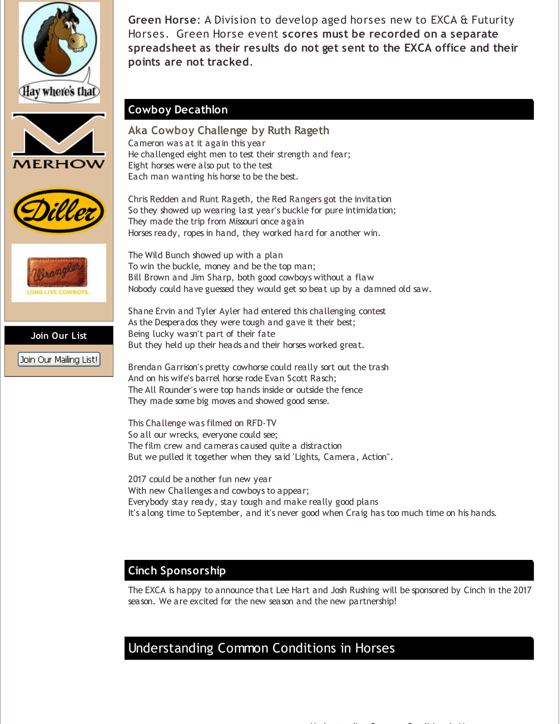









Join Our Mailing List!

**Green Horse**: A Division to develop aged horses new to EXCA & Futurity Horses. Green Horse event **scores must be recorded on a separate spreadsheet as their results do not get sent to the EXCA office and their points are not tracked**.

#### **Cowboy Decathlon**

**Aka Cowboy Challenge by Ruth Rageth** Cameron was at it again this year He challenged eight men to test their strength and fear; Eight horses were also put to the test Each man wanting his horse to be the best.

Chris Redden and Runt Rageth, the Red Rangers got the invitation So they showed up wearing last year's buckle for pure intimidation; They made the trip from Missouri once again Horses ready, ropes in hand, they worked hard for another win.

The Wild Bunch showed up with a plan To win the buckle, money and be the top man; Bill Brown and Jim Sharp, both good cowboys without a flaw Nobody could have guessed they would get so beat up by a damned old saw.

Shane Ervin and Tyler Ayler had entered this challenging contest As the Desperados they were tough and gave it their best; Being lucky wasn't part of their fate But they held up their heads and their horses worked great.

Brendan Garrison's pretty cowhorse could really sort out the trash And on his wife's barrel horse rode Evan Scott Rasch; The All Rounder's were top hands inside or outside the fence They made some big moves and showed good sense.

This Challenge was filmed on RFD-TV So all our wrecks, everyone could see; The film crew and cameras caused quite a distraction But we pulled it together when they said 'Lights, Camera, Action".

2017 could be another fun new year With new Challenges and cowboys to appear; Everybody stay ready, stay tough and make really good plans It's along time to September, and it's never good when Craig has too much time on his hands.

### **Cinch Sponsorship**

The EXCA is happy to announce that Lee Hart and Josh Rushing will be sponsored by Cinch in the 2017 season. We are excited for the new season and the new partnership!

# Understanding Common Conditions in Horses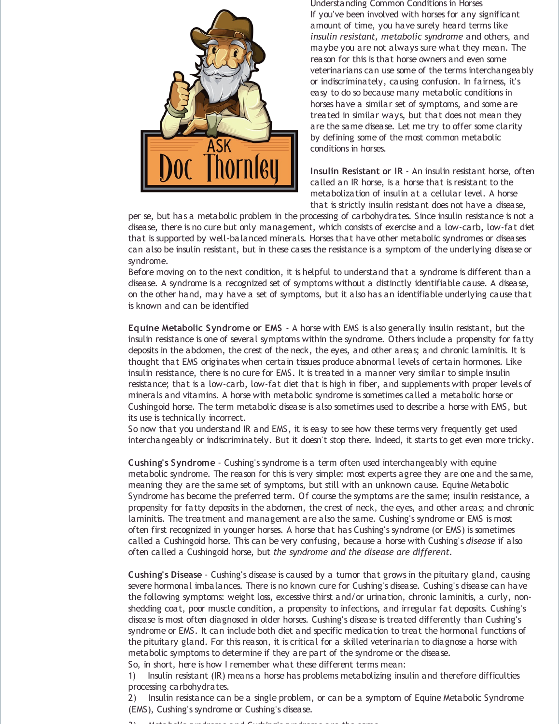

Understanding Common Conditions in Horses If you've been involved with horses for any significant amount of time, you have surely heard terms like *insulin resistant, metabolic syndrome* and others, and maybe you are not always sure what they mean. The reason for this is that horse owners and even some veterinarians can use some of the terms interchangeably or indiscriminately, causing confusion. In fairness, it's easy to do so because many metabolic conditions in horses have a similar set of symptoms, and some are treated in similar ways, but that does not mean they are the same disease. Let me try to offer some clarity by defining some of the most common metabolic conditions in horses.

**Insulin Resistant or IR** - An insulin resistant horse, often called an IR horse, is a horse that is resistant to the metabolization of insulin at a cellular level. A horse that is strictly insulin resistant does not have a disease,

per se, but has a metabolic problem in the processing of carbohydrates. Since insulin resistance is not a disease, there is no cure but only management, which consists of exercise and a low-carb, low-fat diet that is supported by well-balanced minerals. Horses that have other metabolic syndromes or diseases can also be insulin resistant, but in these cases the resistance is a symptom of the underlying disease or syndrome.

Before moving on to the next condition, it is helpful to understand that a syndrome is different than a disease. A syndrome is a recognized set of symptoms without a distinctly identifiable cause. A disease, on the other hand, may have a set of symptoms, but it also has an identifiable underlying cause that is known and can be identified

**Equine Metabolic Syndrome or EMS** - A horse with EMS is also generally insulin resistant, but the insulin resistance is one of several symptoms within the syndrome. Others include a propensity for fatty deposits in the abdomen, the crest of the neck, the eyes, and other areas; and chronic laminitis. It is thought that EMS originates when certain tissues produce abnormal levels of certain hormones. Like insulin resistance, there is no cure for EMS. It is treated in a manner very similar to simple insulin resistance; that is a low-carb, low-fat diet that is high in fiber, and supplements with proper levels of minerals and vitamins. A horse with metabolic syndrome is sometimes called a metabolic horse or Cushingoid horse. The term metabolic disease is also sometimes used to describe a horse with EMS, but its use is technically incorrect.

So now that you understand IR and EMS, it is easy to see how these terms very frequently get used interchangeably or indiscriminately. But it doesn't stop there. Indeed, it starts to get even more tricky.

**Cushing's Syndrome** - Cushing's syndrome is a term often used interchangeably with equine metabolic syndrome. The reason for this is very simple: most experts agree they are one and the same, meaning they are the same set of symptoms, but still with an unknown cause. Equine Metabolic Syndrome has become the preferred term. Of course the symptoms are the same; insulin resistance, a propensity for fatty deposits in the abdomen, the crest of neck, the eyes, and other areas; and chronic laminitis. The treatment and management are also the same. Cushing's syndrome or EMS is most often first recognized in younger horses. A horse that has Cushing's syndrome (or EMS) is sometimes called a Cushingoid horse. This can be very confusing, because a horse with Cushing's *disease* if also often called a Cushingoid horse, but *the syndrome and the disease are different*.

**Cushing's Disease** - Cushing's disease is caused by a tumor that grows in the pituitary gland, causing severe hormonal imbalances. There is no known cure for Cushing's disease. Cushing's disease can have the following symptoms: weight loss, excessive thirst and/or urination, chronic laminitis, a curly, nonshedding coat, poor muscle condition, a propensity to infections, and irregular fat deposits. Cushing's disease is most often diagnosed in older horses. Cushing's disease is treated differently than Cushing's syndrome or EMS. It can include both diet and specific medication to treat the hormonal functions of the pituitary gland. For this reason, it is critical for a skilled veterinarian to diagnose a horse with metabolic symptoms to determine if they are part of the syndrome or the disease.

So, in short, here is how I remember what these different terms mean:

1) Insulin resistant (IR) means a horse has problems metabolizing insulin and therefore difficulties processing carbohydrates.

2) Insulin resistance can be a single problem, or can be a symptom of Equine Metabolic Syndrome (EMS), Cushing's syndrome or Cushing's disease.

3) Metabolic syndrome and Cushing's syndrome are *the same.*